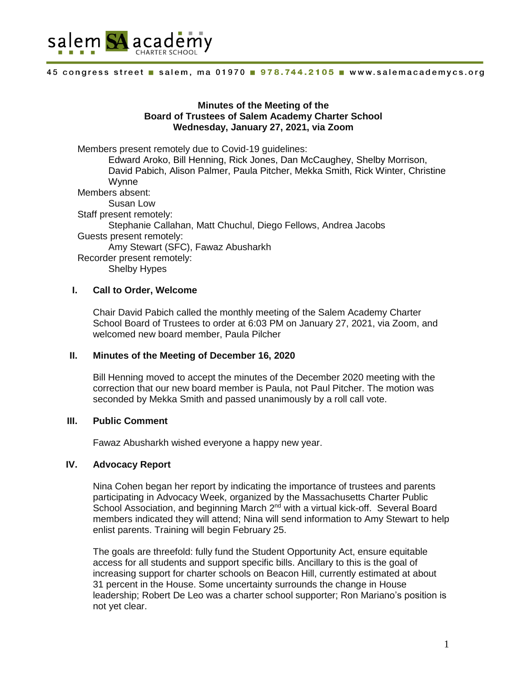

# **Minutes of the Meeting of the Board of Trustees of Salem Academy Charter School Wednesday, January 27, 2021, via Zoom**

Members present remotely due to Covid-19 guidelines: Edward Aroko, Bill Henning, Rick Jones, Dan McCaughey, Shelby Morrison,

David Pabich, Alison Palmer, Paula Pitcher, Mekka Smith, Rick Winter, Christine Wynne Members absent:

Susan Low Staff present remotely: Stephanie Callahan, Matt Chuchul, Diego Fellows, Andrea Jacobs Guests present remotely: Amy Stewart (SFC), Fawaz Abusharkh Recorder present remotely:

Shelby Hypes

## **I. Call to Order, Welcome**

Chair David Pabich called the monthly meeting of the Salem Academy Charter School Board of Trustees to order at 6:03 PM on January 27, 2021, via Zoom, and welcomed new board member, Paula Pilcher

## **II. Minutes of the Meeting of December 16, 2020**

Bill Henning moved to accept the minutes of the December 2020 meeting with the correction that our new board member is Paula, not Paul Pitcher. The motion was seconded by Mekka Smith and passed unanimously by a roll call vote.

## **III. Public Comment**

Fawaz Abusharkh wished everyone a happy new year.

# **IV. Advocacy Report**

Nina Cohen began her report by indicating the importance of trustees and parents participating in Advocacy Week, organized by the Massachusetts Charter Public School Association, and beginning March 2<sup>nd</sup> with a virtual kick-off. Several Board members indicated they will attend; Nina will send information to Amy Stewart to help enlist parents. Training will begin February 25.

The goals are threefold: fully fund the Student Opportunity Act, ensure equitable access for all students and support specific bills. Ancillary to this is the goal of increasing support for charter schools on Beacon Hill, currently estimated at about 31 percent in the House. Some uncertainty surrounds the change in House leadership; Robert De Leo was a charter school supporter; Ron Mariano's position is not yet clear.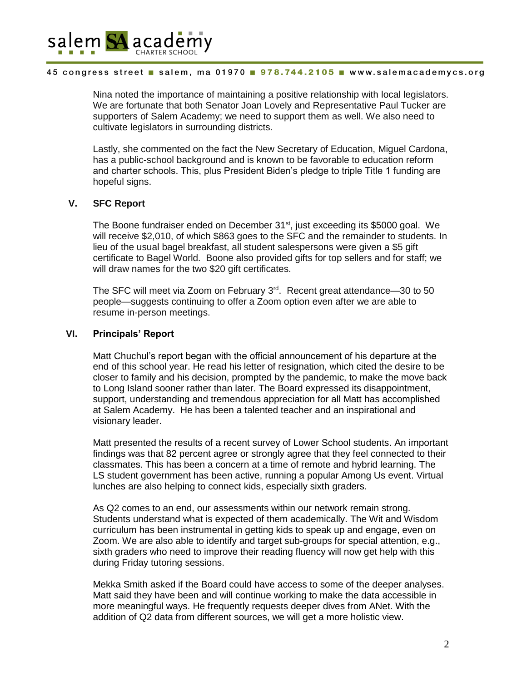

Nina noted the importance of maintaining a positive relationship with local legislators. We are fortunate that both Senator Joan Lovely and Representative Paul Tucker are supporters of Salem Academy; we need to support them as well. We also need to cultivate legislators in surrounding districts.

Lastly, she commented on the fact the New Secretary of Education, Miguel Cardona, has a public-school background and is known to be favorable to education reform and charter schools. This, plus President Biden's pledge to triple Title 1 funding are hopeful signs.

# **V. SFC Report**

The Boone fundraiser ended on December 31<sup>st</sup>, just exceeding its \$5000 goal. We will receive \$2,010, of which \$863 goes to the SFC and the remainder to students. In lieu of the usual bagel breakfast, all student salespersons were given a \$5 gift certificate to Bagel World. Boone also provided gifts for top sellers and for staff; we will draw names for the two \$20 gift certificates.

The SFC will meet via Zoom on February 3<sup>rd</sup>. Recent great attendance—30 to 50 people—suggests continuing to offer a Zoom option even after we are able to resume in-person meetings.

## **VI. Principals' Report**

Matt Chuchul's report began with the official announcement of his departure at the end of this school year. He read his letter of resignation, which cited the desire to be closer to family and his decision, prompted by the pandemic, to make the move back to Long Island sooner rather than later. The Board expressed its disappointment, support, understanding and tremendous appreciation for all Matt has accomplished at Salem Academy. He has been a talented teacher and an inspirational and visionary leader.

Matt presented the results of a recent survey of Lower School students. An important findings was that 82 percent agree or strongly agree that they feel connected to their classmates. This has been a concern at a time of remote and hybrid learning. The LS student government has been active, running a popular Among Us event. Virtual lunches are also helping to connect kids, especially sixth graders.

As Q2 comes to an end, our assessments within our network remain strong. Students understand what is expected of them academically. The Wit and Wisdom curriculum has been instrumental in getting kids to speak up and engage, even on Zoom. We are also able to identify and target sub-groups for special attention, e.g., sixth graders who need to improve their reading fluency will now get help with this during Friday tutoring sessions.

Mekka Smith asked if the Board could have access to some of the deeper analyses. Matt said they have been and will continue working to make the data accessible in more meaningful ways. He frequently requests deeper dives from ANet. With the addition of Q2 data from different sources, we will get a more holistic view.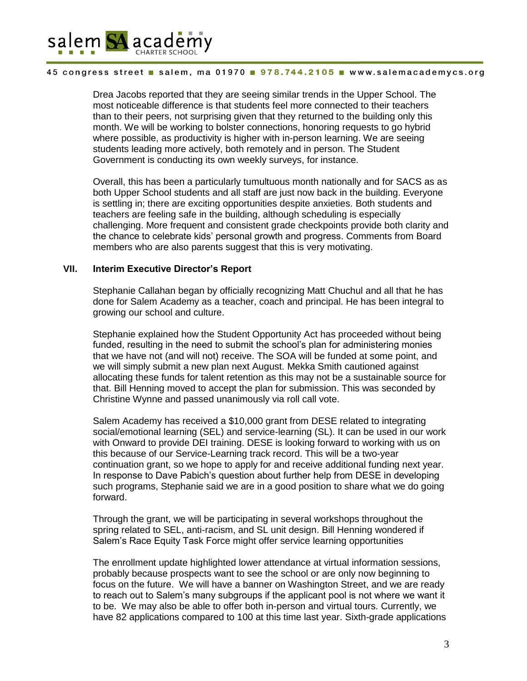

Drea Jacobs reported that they are seeing similar trends in the Upper School. The most noticeable difference is that students feel more connected to their teachers than to their peers, not surprising given that they returned to the building only this month. We will be working to bolster connections, honoring requests to go hybrid where possible, as productivity is higher with in-person learning. We are seeing students leading more actively, both remotely and in person. The Student Government is conducting its own weekly surveys, for instance.

Overall, this has been a particularly tumultuous month nationally and for SACS as as both Upper School students and all staff are just now back in the building. Everyone is settling in; there are exciting opportunities despite anxieties. Both students and teachers are feeling safe in the building, although scheduling is especially challenging. More frequent and consistent grade checkpoints provide both clarity and the chance to celebrate kids' personal growth and progress. Comments from Board members who are also parents suggest that this is very motivating.

### **VII. Interim Executive Director's Report**

Stephanie Callahan began by officially recognizing Matt Chuchul and all that he has done for Salem Academy as a teacher, coach and principal. He has been integral to growing our school and culture.

Stephanie explained how the Student Opportunity Act has proceeded without being funded, resulting in the need to submit the school's plan for administering monies that we have not (and will not) receive. The SOA will be funded at some point, and we will simply submit a new plan next August. Mekka Smith cautioned against allocating these funds for talent retention as this may not be a sustainable source for that. Bill Henning moved to accept the plan for submission. This was seconded by Christine Wynne and passed unanimously via roll call vote.

Salem Academy has received a \$10,000 grant from DESE related to integrating social/emotional learning (SEL) and service-learning (SL). It can be used in our work with Onward to provide DEI training. DESE is looking forward to working with us on this because of our Service-Learning track record. This will be a two-year continuation grant, so we hope to apply for and receive additional funding next year. In response to Dave Pabich's question about further help from DESE in developing such programs, Stephanie said we are in a good position to share what we do going forward.

Through the grant, we will be participating in several workshops throughout the spring related to SEL, anti-racism, and SL unit design. Bill Henning wondered if Salem's Race Equity Task Force might offer service learning opportunities

The enrollment update highlighted lower attendance at virtual information sessions, probably because prospects want to see the school or are only now beginning to focus on the future. We will have a banner on Washington Street, and we are ready to reach out to Salem's many subgroups if the applicant pool is not where we want it to be. We may also be able to offer both in-person and virtual tours. Currently, we have 82 applications compared to 100 at this time last year. Sixth-grade applications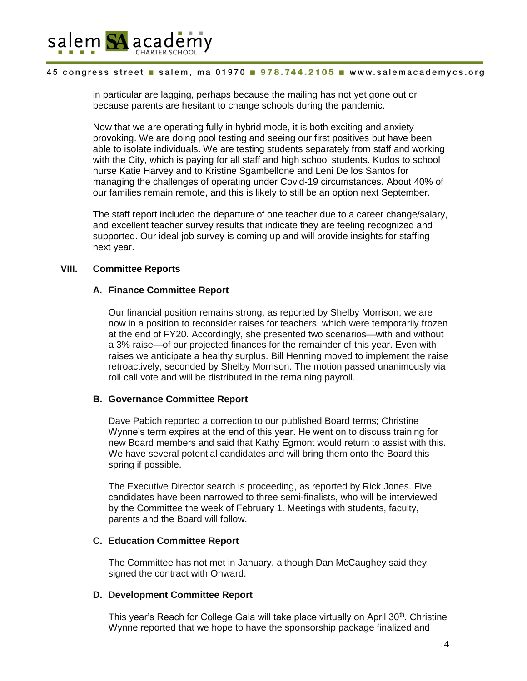

in particular are lagging, perhaps because the mailing has not yet gone out or because parents are hesitant to change schools during the pandemic.

Now that we are operating fully in hybrid mode, it is both exciting and anxiety provoking. We are doing pool testing and seeing our first positives but have been able to isolate individuals. We are testing students separately from staff and working with the City, which is paying for all staff and high school students. Kudos to school nurse Katie Harvey and to Kristine Sgambellone and Leni De los Santos for managing the challenges of operating under Covid-19 circumstances. About 40% of our families remain remote, and this is likely to still be an option next September.

The staff report included the departure of one teacher due to a career change/salary, and excellent teacher survey results that indicate they are feeling recognized and supported. Our ideal job survey is coming up and will provide insights for staffing next year.

# **VIII. Committee Reports**

# **A. Finance Committee Report**

Our financial position remains strong, as reported by Shelby Morrison; we are now in a position to reconsider raises for teachers, which were temporarily frozen at the end of FY20. Accordingly, she presented two scenarios—with and without a 3% raise—of our projected finances for the remainder of this year. Even with raises we anticipate a healthy surplus. Bill Henning moved to implement the raise retroactively, seconded by Shelby Morrison. The motion passed unanimously via roll call vote and will be distributed in the remaining payroll.

## **B. Governance Committee Report**

Dave Pabich reported a correction to our published Board terms; Christine Wynne's term expires at the end of this year. He went on to discuss training for new Board members and said that Kathy Egmont would return to assist with this. We have several potential candidates and will bring them onto the Board this spring if possible.

The Executive Director search is proceeding, as reported by Rick Jones. Five candidates have been narrowed to three semi-finalists, who will be interviewed by the Committee the week of February 1. Meetings with students, faculty, parents and the Board will follow.

## **C. Education Committee Report**

The Committee has not met in January, although Dan McCaughey said they signed the contract with Onward.

## **D. Development Committee Report**

This year's Reach for College Gala will take place virtually on April 30<sup>th</sup>. Christine Wynne reported that we hope to have the sponsorship package finalized and